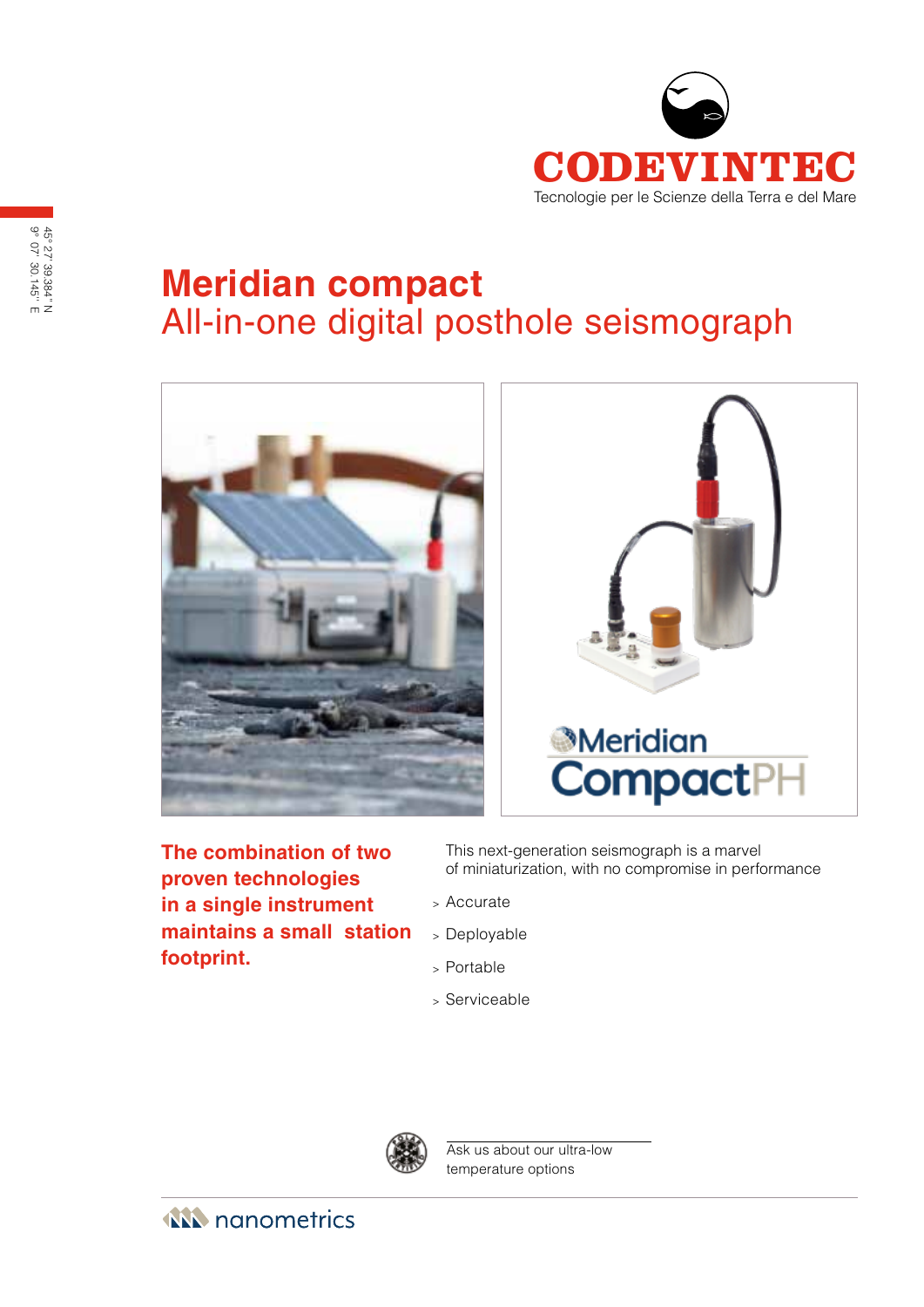

# **Meridian compact** All-in-one digital posthole seismograph





**The combination of two proven technologies in a single instrument maintains a small station footprint.**

This next-generation seismograph is a marvel of miniaturization, with no compromise in performance

- <sup>&</sup>gt; Accurate
- <sup>&</sup>gt; Deployable
- <sup>&</sup>gt; Portable
- <sup>&</sup>gt; Serviceable



Ask us about our ultra-low temperature options

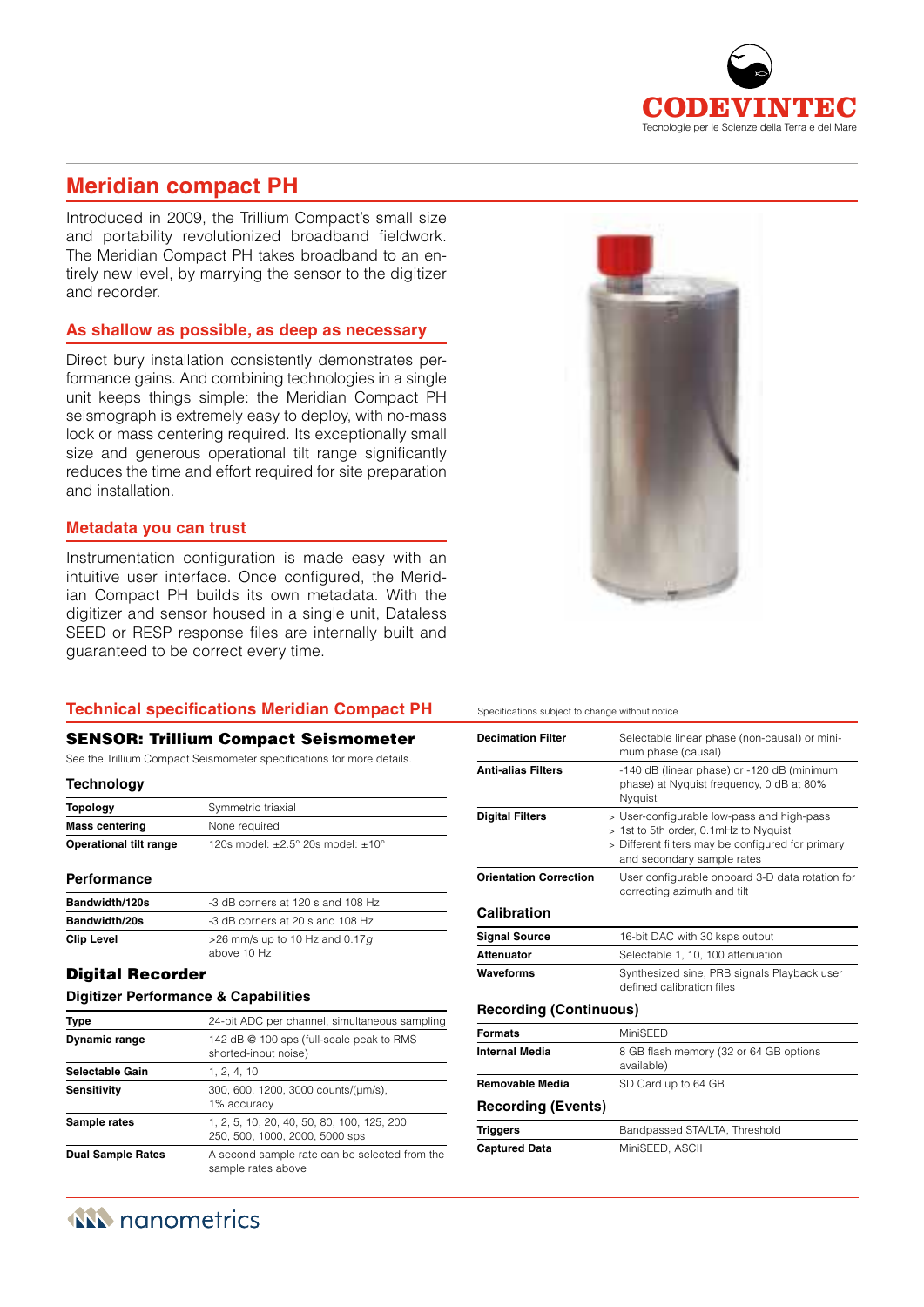

## **Meridian compact PH**

Introduced in 2009, the Trillium Compact's small size and portability revolutionized broadband fieldwork. The Meridian Compact PH takes broadband to an entirely new level, by marrying the sensor to the digitizer and recorder.

#### **As shallow as possible, as deep as necessary**

Direct bury installation consistently demonstrates performance gains. And combining technologies in a single unit keeps things simple: the Meridian Compact PH seismograph is extremely easy to deploy, with no-mass lock or mass centering required. Its exceptionally small size and generous operational tilt range significantly reduces the time and effort required for site preparation and installation.

#### **Metadata you can trust**

Instrumentation configuration is made easy with an intuitive user interface. Once configured, the Meridian Compact PH builds its own metadata. With the digitizer and sensor housed in a single unit, Dataless SEED or RESP response files are internally built and guaranteed to be correct every time.



#### SENSOR: Trillium Compact Seismometer

See the Trillium Compact Seismometer specifications for more details.

| <b>Technology</b> |  |
|-------------------|--|
|-------------------|--|

| <b>Topology</b>               | Symmetric triaxial                                  |
|-------------------------------|-----------------------------------------------------|
| <b>Mass centering</b>         | None required                                       |
| <b>Operational tilt range</b> | 120s model: $+2.5^{\circ}$ 20s model: $+10^{\circ}$ |

#### **Performance**

| Bandwidth/120s       | -3 dB corners at 120 s and 108 Hz                |
|----------------------|--------------------------------------------------|
| <b>Bandwidth/20s</b> | -3 dB corners at 20 s and 108 Hz                 |
| <b>Clip Level</b>    | $>$ 26 mm/s up to 10 Hz and 0.17q<br>above 10 Hz |

#### Digital Recorder

#### **Digitizer Performance & Capabilities**

| <b>Type</b>              | 24-bit ADC per channel, simultaneous sampling                                 |
|--------------------------|-------------------------------------------------------------------------------|
| <b>Dynamic range</b>     | 142 dB @ 100 sps (full-scale peak to RMS<br>shorted-input noise)              |
| <b>Selectable Gain</b>   | 1, 2, 4, 10                                                                   |
| <b>Sensitivity</b>       | 300, 600, 1200, 3000 counts/(um/s),<br>1% accuracy                            |
| Sample rates             | 1, 2, 5, 10, 20, 40, 50, 80, 100, 125, 200,<br>250, 500, 1000, 2000, 5000 sps |
| <b>Dual Sample Rates</b> | A second sample rate can be selected from the<br>sample rates above           |





#### Specifications subject to change without notice

| <b>Decimation Filter</b>      | Selectable linear phase (non-causal) or mini-<br>mum phase (causal)                                                                                                    |
|-------------------------------|------------------------------------------------------------------------------------------------------------------------------------------------------------------------|
| <b>Anti-alias Filters</b>     | -140 dB (linear phase) or -120 dB (minimum<br>phase) at Nyquist frequency, 0 dB at 80%<br>Nyquist                                                                      |
| <b>Digital Filters</b>        | > User-configurable low-pass and high-pass<br>> 1st to 5th order, 0.1mHz to Nyguist<br>> Different filters may be configured for primary<br>and secondary sample rates |
| <b>Orientation Correction</b> | User configurable onboard 3-D data rotation for<br>correcting azimuth and tilt                                                                                         |
| Calibration                   |                                                                                                                                                                        |
| <b>Signal Source</b>          | 16-bit DAC with 30 ksps output                                                                                                                                         |
| <b>Attenuator</b>             | Selectable 1, 10, 100 attenuation                                                                                                                                      |
| Waveforms                     | Synthesized sine, PRB signals Playback user<br>defined calibration files                                                                                               |
| <b>Recording (Continuous)</b> |                                                                                                                                                                        |
| <b>Formats</b>                | MiniSFFD                                                                                                                                                               |
| <b>Internal Media</b>         | 8 GB flash memory (32 or 64 GB options<br>available)                                                                                                                   |
| <b>Removable Media</b>        | SD Card up to 64 GB                                                                                                                                                    |
| <b>Recording (Events)</b>     |                                                                                                                                                                        |
| <b>Triggers</b>               | Bandpassed STA/LTA, Threshold                                                                                                                                          |
| <b>Captured Data</b>          | MiniSEED, ASCII                                                                                                                                                        |